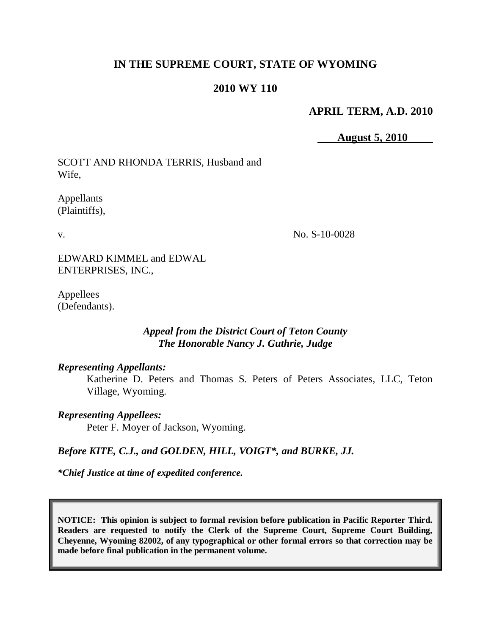# **IN THE SUPREME COURT, STATE OF WYOMING**

### **2010 WY 110**

# **APRIL TERM, A.D. 2010**

**August 5, 2010**

SCOTT AND RHONDA TERRIS, Husband and Wife,

Appellants (Plaintiffs),

v.

No. S-10-0028

EDWARD KIMMEL and EDWAL ENTERPRISES, INC.,

Appellees (Defendants).

## *Appeal from the District Court of Teton County The Honorable Nancy J. Guthrie, Judge*

### *Representing Appellants:*

Katherine D. Peters and Thomas S. Peters of Peters Associates, LLC, Teton Village, Wyoming.

### *Representing Appellees:*

Peter F. Moyer of Jackson, Wyoming.

### *Before KITE, C.J., and GOLDEN, HILL, VOIGT\*, and BURKE, JJ.*

*\*Chief Justice at time of expedited conference.*

**NOTICE: This opinion is subject to formal revision before publication in Pacific Reporter Third. Readers are requested to notify the Clerk of the Supreme Court, Supreme Court Building, Cheyenne, Wyoming 82002, of any typographical or other formal errors so that correction may be made before final publication in the permanent volume.**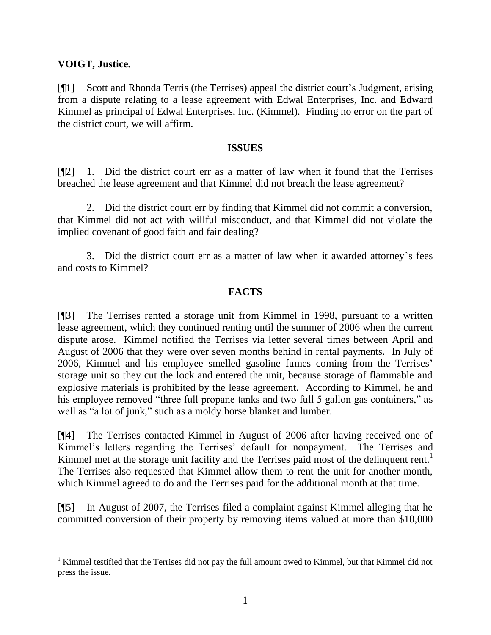## **VOIGT, Justice.**

[¶1] Scott and Rhonda Terris (the Terrises) appeal the district court"s Judgment, arising from a dispute relating to a lease agreement with Edwal Enterprises, Inc. and Edward Kimmel as principal of Edwal Enterprises, Inc. (Kimmel). Finding no error on the part of the district court, we will affirm.

#### **ISSUES**

[¶2] 1. Did the district court err as a matter of law when it found that the Terrises breached the lease agreement and that Kimmel did not breach the lease agreement?

2. Did the district court err by finding that Kimmel did not commit a conversion, that Kimmel did not act with willful misconduct, and that Kimmel did not violate the implied covenant of good faith and fair dealing?

3. Did the district court err as a matter of law when it awarded attorney"s fees and costs to Kimmel?

### **FACTS**

[¶3] The Terrises rented a storage unit from Kimmel in 1998, pursuant to a written lease agreement, which they continued renting until the summer of 2006 when the current dispute arose. Kimmel notified the Terrises via letter several times between April and August of 2006 that they were over seven months behind in rental payments. In July of 2006, Kimmel and his employee smelled gasoline fumes coming from the Terrises" storage unit so they cut the lock and entered the unit, because storage of flammable and explosive materials is prohibited by the lease agreement. According to Kimmel, he and his employee removed "three full propane tanks and two full 5 gallon gas containers," as well as "a lot of junk," such as a moldy horse blanket and lumber.

[¶4] The Terrises contacted Kimmel in August of 2006 after having received one of Kimmel's letters regarding the Terrises' default for nonpayment. The Terrises and Kimmel met at the storage unit facility and the Terrises paid most of the delinquent rent.<sup>1</sup> The Terrises also requested that Kimmel allow them to rent the unit for another month, which Kimmel agreed to do and the Terrises paid for the additional month at that time.

[¶5] In August of 2007, the Terrises filed a complaint against Kimmel alleging that he committed conversion of their property by removing items valued at more than \$10,000

 $1$  Kimmel testified that the Terrises did not pay the full amount owed to Kimmel, but that Kimmel did not press the issue.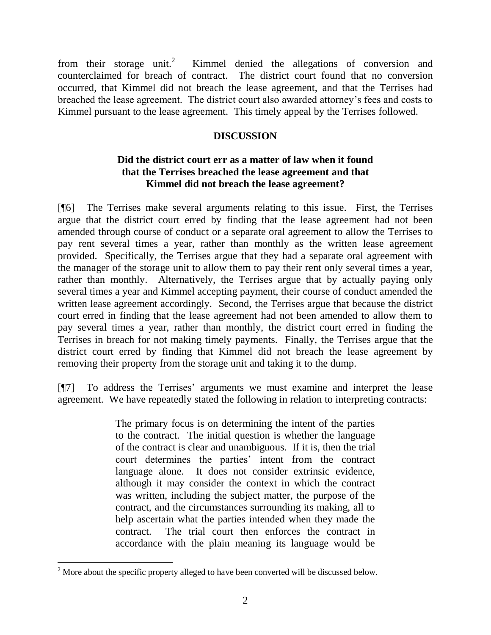from their storage unit.<sup>2</sup> Kimmel denied the allegations of conversion and counterclaimed for breach of contract. The district court found that no conversion occurred, that Kimmel did not breach the lease agreement, and that the Terrises had breached the lease agreement. The district court also awarded attorney"s fees and costs to Kimmel pursuant to the lease agreement. This timely appeal by the Terrises followed.

# **DISCUSSION**

# **Did the district court err as a matter of law when it found that the Terrises breached the lease agreement and that Kimmel did not breach the lease agreement?**

[¶6] The Terrises make several arguments relating to this issue. First, the Terrises argue that the district court erred by finding that the lease agreement had not been amended through course of conduct or a separate oral agreement to allow the Terrises to pay rent several times a year, rather than monthly as the written lease agreement provided. Specifically, the Terrises argue that they had a separate oral agreement with the manager of the storage unit to allow them to pay their rent only several times a year, rather than monthly. Alternatively, the Terrises argue that by actually paying only several times a year and Kimmel accepting payment, their course of conduct amended the written lease agreement accordingly. Second, the Terrises argue that because the district court erred in finding that the lease agreement had not been amended to allow them to pay several times a year, rather than monthly, the district court erred in finding the Terrises in breach for not making timely payments. Finally, the Terrises argue that the district court erred by finding that Kimmel did not breach the lease agreement by removing their property from the storage unit and taking it to the dump.

[¶7] To address the Terrises" arguments we must examine and interpret the lease agreement. We have repeatedly stated the following in relation to interpreting contracts:

> The primary focus is on determining the intent of the parties to the contract. The initial question is whether the language of the contract is clear and unambiguous. If it is, then the trial court determines the parties' intent from the contract language alone. It does not consider extrinsic evidence, although it may consider the context in which the contract was written, including the subject matter, the purpose of the contract, and the circumstances surrounding its making, all to help ascertain what the parties intended when they made the contract. The trial court then enforces the contract in accordance with the plain meaning its language would be

  $2^{2}$  More about the specific property alleged to have been converted will be discussed below.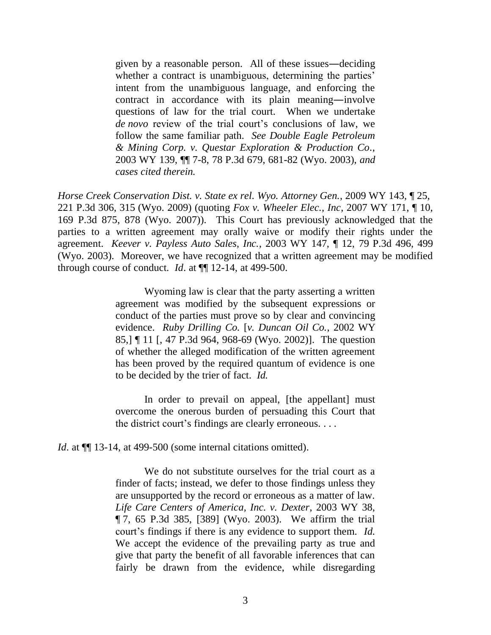given by a reasonable person. All of these issues―deciding whether a contract is unambiguous, determining the parties' intent from the unambiguous language, and enforcing the contract in accordance with its plain meaning―involve questions of law for the trial court. When we undertake *de novo* review of the trial court's conclusions of law, we follow the same familiar path. *See Double Eagle Petroleum & Mining Corp. v. Questar Exploration & Production Co.*, 2003 WY 139, ¶¶ 7-8, 78 P.3d 679, 681-82 (Wyo. 2003), *and cases cited therein.*

*Horse Creek Conservation Dist. v. State ex rel. Wyo. Attorney Gen.*, 2009 WY 143, ¶ 25, 221 P.3d 306, 315 (Wyo. 2009) (quoting *Fox v. Wheeler Elec., Inc*, 2007 WY 171, ¶ 10, 169 P.3d 875, 878 (Wyo. 2007)). This Court has previously acknowledged that the parties to a written agreement may orally waive or modify their rights under the agreement. *Keever v. Payless Auto Sales, Inc.*, 2003 WY 147, ¶ 12, 79 P.3d 496, 499 (Wyo. 2003). Moreover, we have recognized that a written agreement may be modified through course of conduct*. Id*. at ¶¶ 12-14, at 499-500.

> Wyoming law is clear that the party asserting a written agreement was modified by the subsequent expressions or conduct of the parties must prove so by clear and convincing evidence. *Ruby Drilling Co.* [*v. Duncan Oil Co.*, 2002 WY 85,] ¶ 11 [, 47 P.3d 964, 968-69 (Wyo. 2002)]. The question of whether the alleged modification of the written agreement has been proved by the required quantum of evidence is one to be decided by the trier of fact. *Id.*

> In order to prevail on appeal, [the appellant] must overcome the onerous burden of persuading this Court that the district court's findings are clearly erroneous. . . .

*Id.* at  $\P$  13-14, at 499-500 (some internal citations omitted).

We do not substitute ourselves for the trial court as a finder of facts; instead, we defer to those findings unless they are unsupported by the record or erroneous as a matter of law. *Life Care Centers of America, Inc. v. Dexter*, 2003 WY 38, ¶ 7, 65 P.3d 385, [389] (Wyo. 2003). We affirm the trial court's findings if there is any evidence to support them. *Id.* We accept the evidence of the prevailing party as true and give that party the benefit of all favorable inferences that can fairly be drawn from the evidence, while disregarding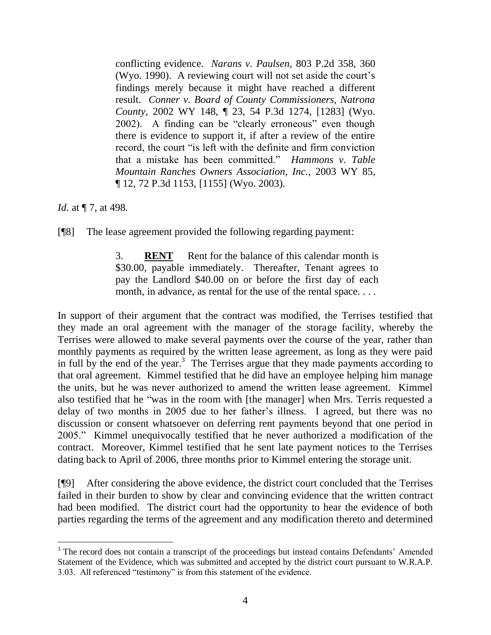conflicting evidence. *Narans v. Paulsen,* 803 P.2d 358, 360 (Wyo. 1990). A reviewing court will not set aside the court"s findings merely because it might have reached a different result. *Conner v. Board of County Commissioners, Natrona County*, 2002 WY 148, ¶ 23, 54 P.3d 1274, [1283] (Wyo. 2002). A finding can be "clearly erroneous" even though there is evidence to support it, if after a review of the entire record, the court "is left with the definite and firm conviction that a mistake has been committed." *Hammons v. Table Mountain Ranches Owners Association, Inc.*, 2003 WY 85, ¶ 12, 72 P.3d 1153, [1155] (Wyo. 2003).

*Id.* at  $\P$  7, at 498.

 $\overline{a}$ 

[¶8] The lease agreement provided the following regarding payment:

3. **RENT** Rent for the balance of this calendar month is \$30.00, payable immediately. Thereafter, Tenant agrees to pay the Landlord \$40.00 on or before the first day of each month, in advance, as rental for the use of the rental space....

In support of their argument that the contract was modified, the Terrises testified that they made an oral agreement with the manager of the storage facility, whereby the Terrises were allowed to make several payments over the course of the year, rather than monthly payments as required by the written lease agreement, as long as they were paid in full by the end of the year.<sup>3</sup> The Terrises argue that they made payments according to that oral agreement. Kimmel testified that he did have an employee helping him manage the units, but he was never authorized to amend the written lease agreement. Kimmel also testified that he "was in the room with [the manager] when Mrs. Terris requested a delay of two months in 2005 due to her father"s illness. I agreed, but there was no discussion or consent whatsoever on deferring rent payments beyond that one period in 2005." Kimmel unequivocally testified that he never authorized a modification of the contract. Moreover, Kimmel testified that he sent late payment notices to the Terrises dating back to April of 2006, three months prior to Kimmel entering the storage unit.

[¶9] After considering the above evidence, the district court concluded that the Terrises failed in their burden to show by clear and convincing evidence that the written contract had been modified. The district court had the opportunity to hear the evidence of both parties regarding the terms of the agreement and any modification thereto and determined

<sup>&</sup>lt;sup>3</sup> The record does not contain a transcript of the proceedings but instead contains Defendants' Amended Statement of the Evidence, which was submitted and accepted by the district court pursuant to W.R.A.P. 3.03. All referenced "testimony" is from this statement of the evidence.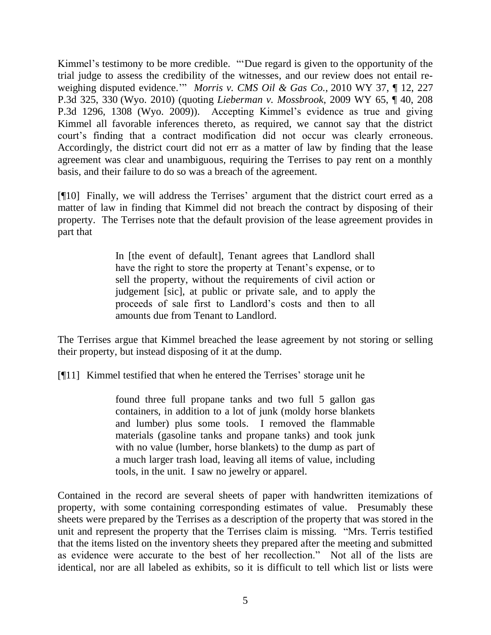Kimmel's testimony to be more credible. ""Due regard is given to the opportunity of the trial judge to assess the credibility of the witnesses, and our review does not entail reweighing disputed evidence."" *Morris v. CMS Oil & Gas Co.*, 2010 WY 37, ¶ 12, 227 P.3d 325, 330 (Wyo. 2010) (quoting *Lieberman v. Mossbrook*, 2009 WY 65, ¶ 40, 208 P.3d 1296, 1308 (Wyo. 2009)). Accepting Kimmel"s evidence as true and giving Kimmel all favorable inferences thereto, as required, we cannot say that the district court"s finding that a contract modification did not occur was clearly erroneous. Accordingly, the district court did not err as a matter of law by finding that the lease agreement was clear and unambiguous, requiring the Terrises to pay rent on a monthly basis, and their failure to do so was a breach of the agreement.

[¶10] Finally, we will address the Terrises" argument that the district court erred as a matter of law in finding that Kimmel did not breach the contract by disposing of their property. The Terrises note that the default provision of the lease agreement provides in part that

> In [the event of default], Tenant agrees that Landlord shall have the right to store the property at Tenant's expense, or to sell the property, without the requirements of civil action or judgement [sic], at public or private sale, and to apply the proceeds of sale first to Landlord"s costs and then to all amounts due from Tenant to Landlord.

The Terrises argue that Kimmel breached the lease agreement by not storing or selling their property, but instead disposing of it at the dump.

[¶11] Kimmel testified that when he entered the Terrises' storage unit he

found three full propane tanks and two full 5 gallon gas containers, in addition to a lot of junk (moldy horse blankets and lumber) plus some tools. I removed the flammable materials (gasoline tanks and propane tanks) and took junk with no value (lumber, horse blankets) to the dump as part of a much larger trash load, leaving all items of value, including tools, in the unit. I saw no jewelry or apparel.

Contained in the record are several sheets of paper with handwritten itemizations of property, with some containing corresponding estimates of value. Presumably these sheets were prepared by the Terrises as a description of the property that was stored in the unit and represent the property that the Terrises claim is missing. "Mrs. Terris testified that the items listed on the inventory sheets they prepared after the meeting and submitted as evidence were accurate to the best of her recollection." Not all of the lists are identical, nor are all labeled as exhibits, so it is difficult to tell which list or lists were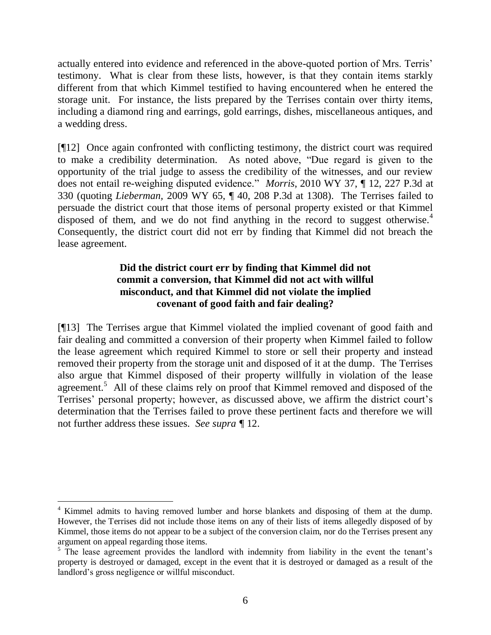actually entered into evidence and referenced in the above-quoted portion of Mrs. Terris" testimony. What is clear from these lists, however, is that they contain items starkly different from that which Kimmel testified to having encountered when he entered the storage unit. For instance, the lists prepared by the Terrises contain over thirty items, including a diamond ring and earrings, gold earrings, dishes, miscellaneous antiques, and a wedding dress.

[¶12] Once again confronted with conflicting testimony, the district court was required to make a credibility determination. As noted above, "Due regard is given to the opportunity of the trial judge to assess the credibility of the witnesses, and our review does not entail re-weighing disputed evidence." *Morris*, 2010 WY 37, ¶ 12, 227 P.3d at 330 (quoting *Lieberman,* 2009 WY 65, ¶ 40, 208 P.3d at 1308). The Terrises failed to persuade the district court that those items of personal property existed or that Kimmel disposed of them, and we do not find anything in the record to suggest otherwise.<sup>4</sup> Consequently, the district court did not err by finding that Kimmel did not breach the lease agreement.

# **Did the district court err by finding that Kimmel did not commit a conversion, that Kimmel did not act with willful misconduct, and that Kimmel did not violate the implied covenant of good faith and fair dealing?**

[¶13] The Terrises argue that Kimmel violated the implied covenant of good faith and fair dealing and committed a conversion of their property when Kimmel failed to follow the lease agreement which required Kimmel to store or sell their property and instead removed their property from the storage unit and disposed of it at the dump. The Terrises also argue that Kimmel disposed of their property willfully in violation of the lease agreement.<sup>5</sup> All of these claims rely on proof that Kimmel removed and disposed of the Terrises' personal property; however, as discussed above, we affirm the district court's determination that the Terrises failed to prove these pertinent facts and therefore we will not further address these issues. *See supra ¶* 12.

 $\overline{a}$ 

<sup>&</sup>lt;sup>4</sup> Kimmel admits to having removed lumber and horse blankets and disposing of them at the dump. However, the Terrises did not include those items on any of their lists of items allegedly disposed of by Kimmel, those items do not appear to be a subject of the conversion claim, nor do the Terrises present any argument on appeal regarding those items.

 $5$  The lease agreement provides the landlord with indemnity from liability in the event the tenant's property is destroyed or damaged, except in the event that it is destroyed or damaged as a result of the landlord"s gross negligence or willful misconduct.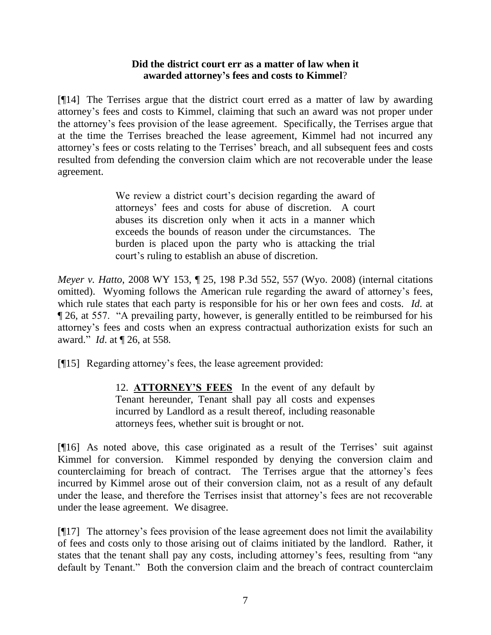## **Did the district court err as a matter of law when it awarded attorney's fees and costs to Kimmel**?

[¶14] The Terrises argue that the district court erred as a matter of law by awarding attorney"s fees and costs to Kimmel, claiming that such an award was not proper under the attorney"s fees provision of the lease agreement. Specifically, the Terrises argue that at the time the Terrises breached the lease agreement, Kimmel had not incurred any attorney"s fees or costs relating to the Terrises" breach, and all subsequent fees and costs resulted from defending the conversion claim which are not recoverable under the lease agreement.

> We review a district court's decision regarding the award of attorneys" fees and costs for abuse of discretion. A court abuses its discretion only when it acts in a manner which exceeds the bounds of reason under the circumstances. The burden is placed upon the party who is attacking the trial court"s ruling to establish an abuse of discretion.

*Meyer v. Hatto*, 2008 WY 153, ¶ 25, 198 P.3d 552, 557 (Wyo. 2008) (internal citations omitted). Wyoming follows the American rule regarding the award of attorney"s fees, which rule states that each party is responsible for his or her own fees and costs. *Id*. at ¶ 26, at 557. "A prevailing party, however, is generally entitled to be reimbursed for his attorney"s fees and costs when an express contractual authorization exists for such an award." *Id*. at ¶ 26, at 558.

[¶15] Regarding attorney"s fees, the lease agreement provided:

12. **ATTORNEY'S FEES** In the event of any default by Tenant hereunder, Tenant shall pay all costs and expenses incurred by Landlord as a result thereof, including reasonable attorneys fees, whether suit is brought or not.

[¶16] As noted above, this case originated as a result of the Terrises" suit against Kimmel for conversion. Kimmel responded by denying the conversion claim and counterclaiming for breach of contract. The Terrises argue that the attorney"s fees incurred by Kimmel arose out of their conversion claim, not as a result of any default under the lease, and therefore the Terrises insist that attorney"s fees are not recoverable under the lease agreement. We disagree.

[¶17] The attorney"s fees provision of the lease agreement does not limit the availability of fees and costs only to those arising out of claims initiated by the landlord. Rather, it states that the tenant shall pay any costs, including attorney's fees, resulting from "any default by Tenant." Both the conversion claim and the breach of contract counterclaim